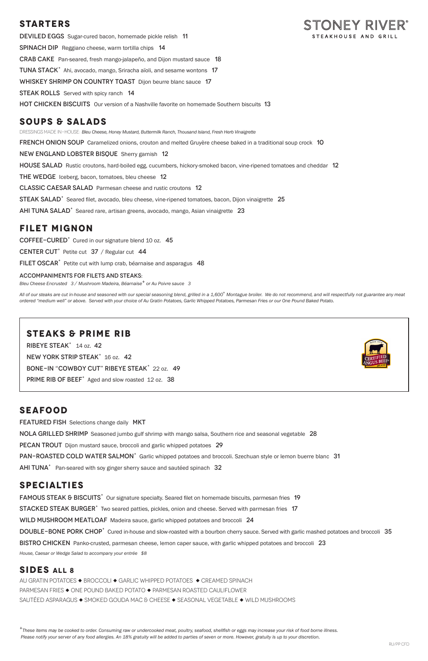### **STARTERS**

DEVILED EGGS Sugar-cured bacon, homemade pickle relish 11 STEAKHOUSE AND GRILL Spinach DipReggiano cheese, warm tortilla chips 14 Crab CakePan-seared, fresh mango-jalapeño, and Dijon mustard sauce 18 TUNA STACK<sup>+</sup> Ahi, avocado, mango, Sriracha aïoli, and sesame wontons 17 WHISKEY SHRIMP ON COUNTRY TOAST Dijon beurre blanc sauce 17 **STEAK ROLLS** Served with spicy ranch 14 hot chicken BiscuitsOur version of a Nashville favorite on homemade Southern biscuits 13

## **SOUPS & SALADS**

DRESSINGS MADE IN-HOUSE: *Bleu Cheese, Honey Mustard, Buttermilk Ranch, Thousand Island, Fresh Herb Vinaigrette* 

**FRENCH ONION SOUP** Caramelized onions, crouton and melted Gruyère cheese baked in a traditional soup crock 10

New England Lobster BisqueSherry garnish 12

HOUSE SALAD Rustic croutons, hard-boiled egg, cucumbers, hickory-smoked bacon, vine-ripened tomatoes and cheddar 12

THE WEDGE Iceberg, bacon, tomatoes, bleu cheese 12

All of our steaks are cut in-house and seasoned with our special seasoning blend, grilled in a 1,600° Montague broiler. We do not recommend, and will respectfully not guarantee any meat *ordered "medium well" or above. Served with your choice of Au Gratin Potatoes, Garlic Whipped Potatoes, Parmesan Fries or our One Pound Baked Potato.*

Classic Caesar SaladParmesan cheese and rustic croutons 12

STEAK SALAD<sup>+</sup> Seared filet, avocado, bleu cheese, vine-ripened tomatoes, bacon, Dijon vinaigrette 25

AHI TUNA SALAD<sup>+</sup> Seared rare, artisan greens, avocado, mango, Asian vinaigrette 23

### **FILET MIGNON**

COFFEE-CURED<sup>+</sup> Cured in our signature blend 10 oz. 45

CENTER CUT<sup>+</sup> Petite cut  $37 /$  Regular cut 44

FILET OSCAR<sup>+</sup> Petite cut with lump crab, béarnaise and asparagus 48

#### ACCOMPANIMENTS FOR FILETS AND STEAKS:

*Bleu Cheese Encrusted 3 / Mushroom Madeira, Béarnaise+ or Au Poivre sauce 3*

FAMOUS STEAK & BISCUITS<sup>+</sup> Our signature specialty. Seared filet on homemade biscuits, parmesan fries 19 STACKED STEAK BURGER<sup>+</sup> Two seared patties, pickles, onion and cheese. Served with parmesan fries 17 WILD MUSHROOM MEATLOAF Madeira sauce, garlic whipped potatoes and broccoli 24 DOUBLE-BONE PORK CHOP<sup>+</sup> Cured in-house and slow-roasted with a bourbon cherry sauce. Served with garlic mashed potatoes and broccoli 35 BISTRO CHICKEN Panko-crusted, parmesan cheese, lemon caper sauce, with garlic whipped potatoes and broccoli 23 *House, Caesar or Wedge Salad to accompany your entrée \$8*

### **STEAKS & PRIME RIB**

RIBEYE STEAK<sup>+</sup> 14 oz. 42 NEW YORK STRIP STEAK<sup>+</sup> 16 oz. 42 BONE-IN "COWBOY CUT" RIBEYE STEAK<sup>+</sup> 22 oz. 49 PRIME RIB OF BEEF<sup>+</sup> Aged and slow roasted 12 oz. 38



STONEY RIVER®

### **SEAFOOD**

**FEATURED FISH** Selections change daily MKT

NOLA GRILLED SHRIMP Seasoned jumbo gulf shrimp with mango salsa, Southern rice and seasonal vegetable 28

PECAN TROUT Dijon mustard sauce, broccoli and garlic whipped potatoes 29

PAN-ROASTED COLD WATER SALMON<sup>+</sup> Garlic whipped potatoes and broccoli. Szechuan style or lemon buerre blanc 31

AHI TUNA<sup>+</sup> Pan-seared with soy ginger sherry sauce and sautéed spinach 32

### **SPECIALTIES**

### **SIDES ALL 8**

AU GRATIN POTATOES ◆ BROCCOLI ◆ GARLIC WHIPPED POTATOES ◆ CREAMED SPINACH PARMESAN FRIES  $\blacklozenge$  ONE POUND BAKED POTATO  $\blacklozenge$  PARMESAN ROASTED CAULIFLOWER SAUTÉED ASPARAGUS  $\blacklozenge$  SMOKED GOUDA MAC & CHEESE  $\blacklozenge$  SEASONAL VEGETABLE  $\blacklozenge$  WILD MUSHROOMS

*<sup>+</sup>These items may be cooked to order. Consuming raw or undercooked meat, poultry, seafood, shellfish or eggs may increase your risk of food borne illness. Please notify your server of any food allergies. An 18% gratuity will be added to parties of seven or more. However, gratuity is up to your discretion.*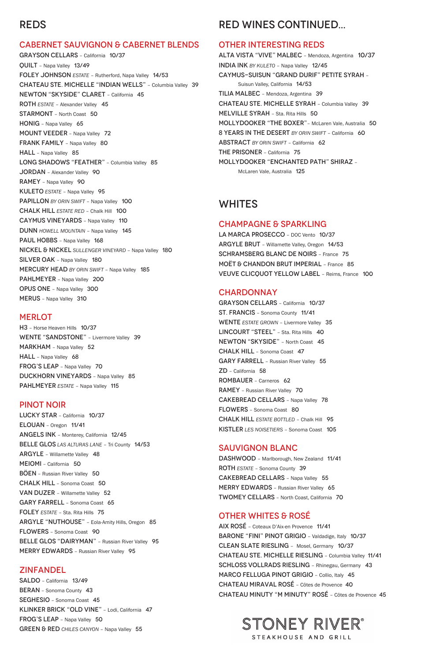# REDS

#### CABERNET SAUVIGNON & CABERNET BLENDS

H3 – Horse Heaven Hills 10/37 WENTE "SANDSTONE" - Livermore Valley 39 MARKHAM - Napa Valley 52 HALL - Napa Valley 68 FROG'S LEAP - Napa Valley 70 DUCKHORN VINEYARDS – Napa Valley 85 PAHLMEYER **ESTATE** - Napa Valley 115

GRAYSON CELLARS – California 10/37 QUILT – Napa Valley 13/49 FOLEY JOHNSON *ESTATE* – Rutherford, Napa Valley 14/53 CHATEAU STE. MICHELLE "INDIAN WELLS" – Columbia Valley 39 NEWTON "SKYSIDE" CLARET – California 45 ROTH *ESTATE* – Alexander Valley 45 STARMONT – North Coast 50 HONIG - Napa Valley 65 MOUNT VEEDER – Napa Valley 72 FRANK FAMILY - Napa Valley 80 HALL - Napa Valley 85 LONG SHADOWS "FEATHER" - Columbia Valley 85 JORDAN - Alexander Valley 90 RAMEY – Napa Valley 90 KULETO *ESTATE* – Napa Valley 95 PAPILLON *BY ORIN SWIFT* – Napa Valley 100 CHALK HILL *ESTATE RED* – Chalk Hill 100 CAYMUS VINEYARDS – Napa Valley 110 DUNN *HOWELL MOUNTAIN* – Napa Valley 145 PAUL HOBBS - Napa Valley 168 NICKEL & NICKEL *SULLENGER VINEYARD* – Napa Valley 180 SILVER OAK - Napa Valley 180 MERCURY HEAD *BY ORIN SWIFT* – Napa Valley 185 PAHLMEYER - Napa Valley 200 OPUS ONE – Napa Valley 300 MERUS – Napa Valley 310

#### **MERLOT**

SALDO – California 13/49 BERAN – Sonoma County 43 SEGHESIO – Sonoma Coast 45 KLINKER BRICK "OLD VINE" – Lodi, California 47 FROG'S LEAP - Napa Valley 50 GREEN & RED CHILES CANYON - Napa Valley 55

#### PINOT NOIR

LUCKY STAR – California 10/37 ELOUAN – Oregon 11/41 ANGELS INK – Monterey, California 12/45 BELLE GLOS *LAS ALTURAS LANE* – Tri County 14/53 ARGYLE – Willamette Valley 48 MEIOMI – California 50 BÖEN – Russian River Valley 50 CHALK HILL – Sonoma Coast 50

VAN DUZER – Willamette Valley 52 GARY FARRELL – Sonoma Coast 65 FOLEY *ESTATE* – Sta. Rita Hills 75 ARGYLE "NUTHOUSE" – Eola-Amity Hills, Oregon 85 FLOWERS – Sonoma Coast 90 BELLE GLOS "DAIRYMAN" - Russian River Valley 95 MERRY EDWARDS – Russian River Valley 95

DASHWOOD - Marlborough, New Zealand 11/41 ROTH *ESTATE* – Sonoma County 39 CAKEBREAD CELLARS – Napa Valley 55

#### ZINFANDEL

MERRY EDWARDS - Russian River Valley 65 TWOMEY CELLARS – North Coast, California 70

# RED WINES CONTINUED...

#### OTHER INTERESTING REDS

ALTA VISTA "VIVE" MALBEC – Mendoza, Argentina 10/37 INDIA INK *BY KULETO* – Napa Valley 12/45 CAYMUS-SUISUN "GRAND DURIF" PETITE SYRAH – Suisun Valley, California 14/53 TILIA MALBEC – Mendoza, Argentina 39 CHATEAU STE. MICHELLE SYRAH – Columbia Valley 39 MELVILLE SYRAH - Sta. Rita Hills 50 MOLLYDOOKER "THE BOXER"– McLaren Vale, Australia 50 8 YEARS IN THE DESERT *BY ORIN SWIFT* – California 60 ABSTRACT *BY ORIN SWIFT* – California 62 THE PRISONER – California 75 MOLLYDOOKER "ENCHANTED PATH" SHIRAZ – McLaren Vale, Australia 125

### WHITES

#### CHAMPAGNE & SPARKLING

LA MARCA PROSECCO – DOC Vento 10/37 ARGYLE BRUT – Willamette Valley, Oregon 14/53 SCHRAMSBERG BLANC DE NOIRS – France 75 MOËT & CHANDON BRUT IMPERIAL – France 85 VEUVE CLICQUOT YELLOW LABEL – Reims, France 100

#### **CHARDONNAY**

GRAYSON CELLARS – California 10/37 ST. FRANCIS – Sonoma County 11/41 WENTE *ESTATE GROWN* – Livermore Valley 35 LINCOURT "STEEL" - Sta. Rita Hills 40 NEWTON "SKYSIDE" – North Coast 45 CHALK HILL – Sonoma Coast 47 GARY FARRELL – Russian River Valley 55 ZD – California 58 ROMBAUER – Carneros 62 RAMEY – Russian River Valley 70 CAKEBREAD CELLARS – Napa Valley 78 FLOWERS – Sonoma Coast 80 CHALK HILL *ESTATE BOTTLED* – Chalk Hill 95 KISTLER *LES NOISETIERS* – Sonoma Coast 105

### SAUVIGNON BLANC

### OTHER WHITES & ROSÉ

AIX ROSÉ – Coteaux D'Aix-en Provence 11/41 BARONE "FINI" PINOT GRIGIO - Valdadige, Italy 10/37 CLEAN SLATE RIESLING – Mosel, Germany 10/37 CHATEAU STE. MICHELLE RIESLING – Columbia Valley 11/41 SCHLOSS VOLLRADS RIESLING – Rhinegau, Germany 43 MARCO FELLUGA PINOT GRIGIO – Collio, Italy 45 CHATEAU MIRAVAL ROSÉ – Côtes de Provence 40 CHATEAU MINUTY "M MINUTY" ROSÉ – Côtes de Provence 45

# STONEY RIVER® STEAKHOUSE AND GRILL